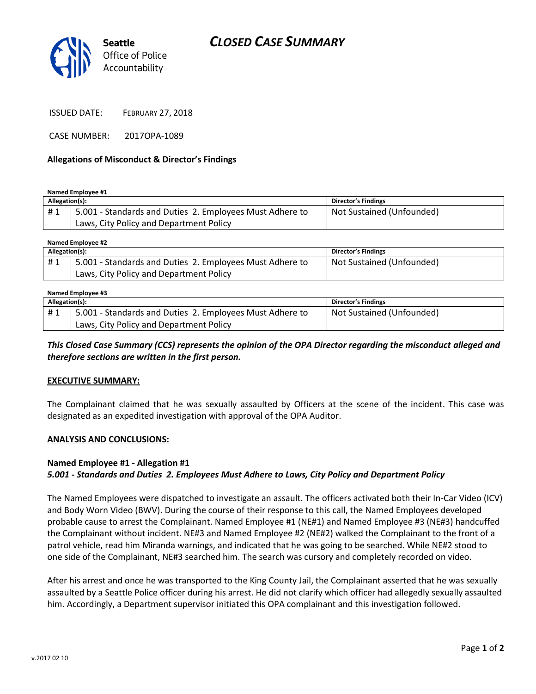# *CLOSED CASE SUMMARY*



ISSUED DATE: FEBRUARY 27, 2018

CASE NUMBER: 2017OPA-1089

### **Allegations of Misconduct & Director's Findings**

**Named Employee #1**

| Allegation(s): |                                                          | Director's Findings       |
|----------------|----------------------------------------------------------|---------------------------|
| #1             | 5.001 - Standards and Duties 2. Employees Must Adhere to | Not Sustained (Unfounded) |
|                | Laws, City Policy and Department Policy                  |                           |

**Named Employee #2**

| Allegation(s): |                                                          | Director's Findings       |  |  |
|----------------|----------------------------------------------------------|---------------------------|--|--|
| #1             | 5.001 - Standards and Duties 2. Employees Must Adhere to | Not Sustained (Unfounded) |  |  |
|                | Laws, City Policy and Department Policy                  |                           |  |  |

#### **Named Employee #3**

| Allegation(s): |                                                          | <b>Director's Findings</b> |
|----------------|----------------------------------------------------------|----------------------------|
| #1             | 5.001 - Standards and Duties 2. Employees Must Adhere to | Not Sustained (Unfounded)  |
|                | Laws, City Policy and Department Policy                  |                            |

*This Closed Case Summary (CCS) represents the opinion of the OPA Director regarding the misconduct alleged and therefore sections are written in the first person.* 

#### **EXECUTIVE SUMMARY:**

The Complainant claimed that he was sexually assaulted by Officers at the scene of the incident. This case was designated as an expedited investigation with approval of the OPA Auditor.

#### **ANALYSIS AND CONCLUSIONS:**

## **Named Employee #1 - Allegation #1**

## *5.001 - Standards and Duties 2. Employees Must Adhere to Laws, City Policy and Department Policy*

The Named Employees were dispatched to investigate an assault. The officers activated both their In-Car Video (ICV) and Body Worn Video (BWV). During the course of their response to this call, the Named Employees developed probable cause to arrest the Complainant. Named Employee #1 (NE#1) and Named Employee #3 (NE#3) handcuffed the Complainant without incident. NE#3 and Named Employee #2 (NE#2) walked the Complainant to the front of a patrol vehicle, read him Miranda warnings, and indicated that he was going to be searched. While NE#2 stood to one side of the Complainant, NE#3 searched him. The search was cursory and completely recorded on video.

After his arrest and once he was transported to the King County Jail, the Complainant asserted that he was sexually assaulted by a Seattle Police officer during his arrest. He did not clarify which officer had allegedly sexually assaulted him. Accordingly, a Department supervisor initiated this OPA complainant and this investigation followed.